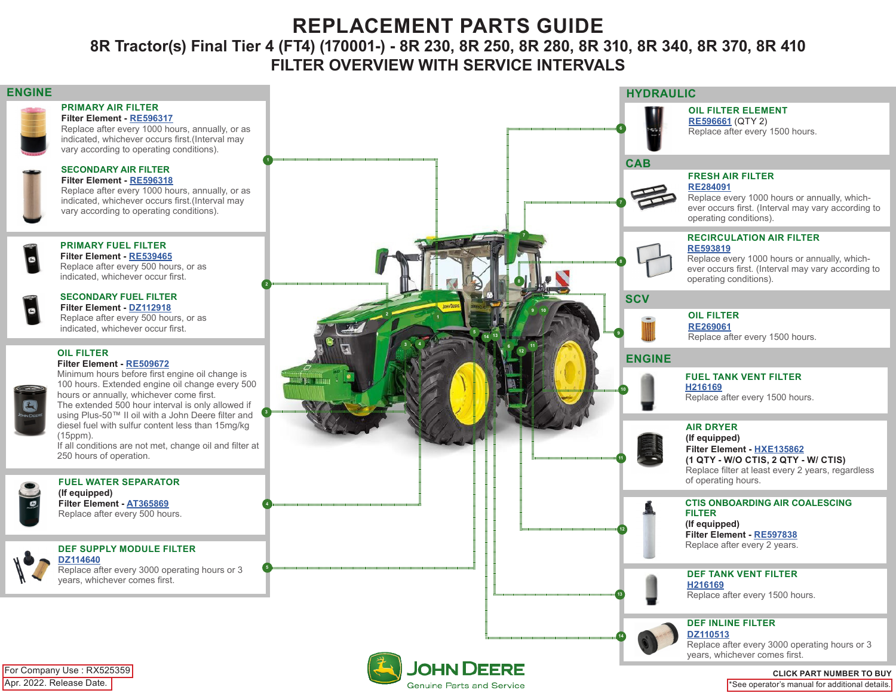# **REPLACEMENT PARTS GUIDE**

### **8R Tractor(s) Final Tier 4 (FT4) (170001-) - 8R 230, 8R 250, 8R 280, 8R 310, 8R 340, 8R 370, 8R 410 FILTER OVERVIEW WITH SERVICE INTERVALS**

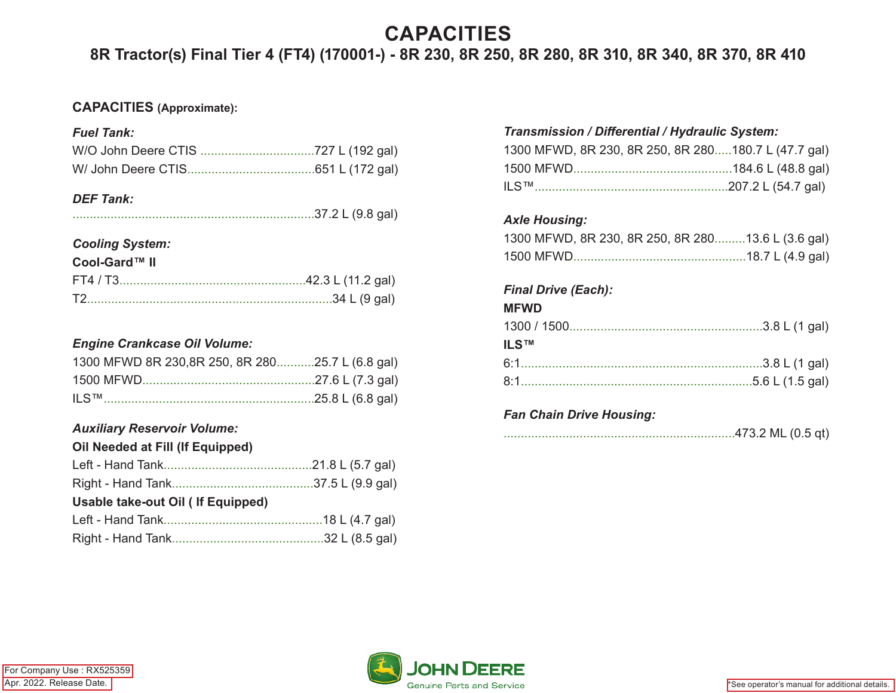# **CAPACITIES**

## **8R Tractor(s) Final Tier 4 (FT4) (170001-) - 8R 230, 8R 250, 8R 280, 8R 310, 8R 340, 8R 370, 8R 410**

#### **CAPACITIES (Approximate):**

#### *Fuel Tank:*

#### *DEF Tank:*

### *Cooling System:*

#### **Cool-Gard™ II**

#### *Engine Crankcase Oil Volume:*

| 1300 MFWD 8R 230,8R 250, 8R 28025.7 L (6.8 gal) |  |
|-------------------------------------------------|--|
|                                                 |  |
|                                                 |  |

#### *Auxiliary Reservoir Volume:* **Oil Needed at Fill (If Equipped)**

#### *Transmission / Differential / Hydraulic System:*

| 1300 MFWD, 8R 230, 8R 250, 8R 280180.7 L (47.7 gal) |  |
|-----------------------------------------------------|--|
|                                                     |  |
| ILS™………………………………………………207.2 L (54.7 gal)            |  |

#### *Axle Housing:*

| 1300 MFWD, 8R 230, 8R 250, 8R 28013.6 L (3.6 gal) |  |  |  |
|---------------------------------------------------|--|--|--|
|                                                   |  |  |  |

### *Final Drive (Each):*

#### **MFWD**

| <b>ILS™</b> |  |
|-------------|--|
|             |  |
|             |  |

#### *Fan Chain Drive Housing:*